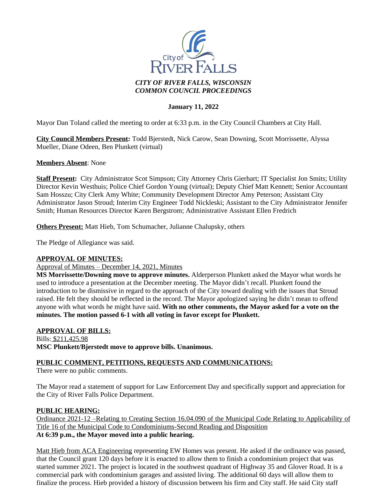

### **January 11, 2022**

Mayor Dan Toland called the meeting to order at 6:33 p.m. in the City Council Chambers at City Hall.

**City Council Members Present:** Todd Bjerstedt, Nick Carow, Sean Downing, Scott Morrissette, Alyssa Mueller, Diane Odeen, Ben Plunkett (virtual)

#### **Members Absent**: None

**Staff Present:** City Administrator Scot Simpson; City Attorney Chris Gierhart; IT Specialist Jon Smits; Utility Director Kevin Westhuis; Police Chief Gordon Young (virtual); Deputy Chief Matt Kennett; Senior Accountant Sam Hosszu; City Clerk Amy White; Community Development Director Amy Peterson; Assistant City Administrator Jason Stroud; Interim City Engineer Todd Nickleski; Assistant to the City Administrator Jennifer Smith; Human Resources Director Karen Bergstrom; Administrative Assistant Ellen Fredrich

**Others Present:** Matt Hieb, Tom Schumacher, Julianne Chalupsky, others

The Pledge of Allegiance was said.

#### **APPROVAL OF MINUTES:**

Approval of Minutes – December 14, 2021, Minutes

**MS Morrissette/Downing move to approve minutes.** Alderperson Plunkett asked the Mayor what words he used to introduce a presentation at the December meeting. The Mayor didn't recall. Plunkett found the introduction to be dismissive in regard to the approach of the City toward dealing with the issues that Stroud raised. He felt they should be reflected in the record. The Mayor apologized saying he didn't mean to offend anyone with what words he might have said. **With no other comments, the Mayor asked for a vote on the minutes. The motion passed 6-1 with all voting in favor except for Plunkett.**

#### **APPROVAL OF BILLS:**

Bills: \$211,425.98 **MSC Plunkett/Bjerstedt move to approve bills. Unanimous.**

#### **PUBLIC COMMENT, PETITIONS, REQUESTS AND COMMUNICATIONS:**

There were no public comments.

The Mayor read a statement of support for Law Enforcement Day and specifically support and appreciation for the City of River Falls Police Department.

#### **PUBLIC HEARING:**

Ordinance 2021-12 –Relating to Creating Section 16.04.090 of the Municipal Code Relating to Applicability of Title 16 of the Municipal Code to Condominiums-Second Reading and Disposition **At 6:39 p.m., the Mayor moved into a public hearing.**

Matt Hieb from ACA Engineering representing EW Homes was present. He asked if the ordinance was passed, that the Council grant 120 days before it is enacted to allow them to finish a condominium project that was started summer 2021. The project is located in the southwest quadrant of Highway 35 and Glover Road. It is a commercial park with condominium garages and assisted living. The additional 60 days will allow them to finalize the process. Hieb provided a history of discussion between his firm and City staff. He said City staff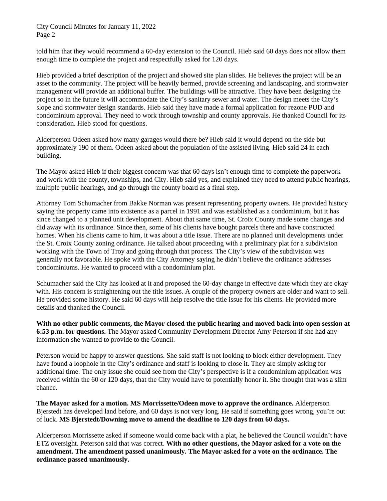City Council Minutes for January 11, 2022 Page 2

told him that they would recommend a 60-day extension to the Council. Hieb said 60 days does not allow them enough time to complete the project and respectfully asked for 120 days.

Hieb provided a brief description of the project and showed site plan slides. He believes the project will be an asset to the community. The project will be heavily bermed, provide screening and landscaping, and stormwater management will provide an additional buffer. The buildings will be attractive. They have been designing the project so in the future it will accommodate the City's sanitary sewer and water. The design meets the City's slope and stormwater design standards. Hieb said they have made a formal application for rezone PUD and condominium approval. They need to work through township and county approvals. He thanked Council for its consideration. Hieb stood for questions.

Alderperson Odeen asked how many garages would there be? Hieb said it would depend on the side but approximately 190 of them. Odeen asked about the population of the assisted living. Hieb said 24 in each building.

The Mayor asked Hieb if their biggest concern was that 60 days isn't enough time to complete the paperwork and work with the county, townships, and City. Hieb said yes, and explained they need to attend public hearings, multiple public hearings, and go through the county board as a final step.

Attorney Tom Schumacher from Bakke Norman was present representing property owners. He provided history saying the property came into existence as a parcel in 1991 and was established as a condominium, but it has since changed to a planned unit development. About that same time, St. Croix County made some changes and did away with its ordinance. Since then, some of his clients have bought parcels there and have constructed homes. When his clients came to him, it was about a title issue. There are no planned unit developments under the St. Croix County zoning ordinance. He talked about proceeding with a preliminary plat for a subdivision working with the Town of Troy and going through that process. The City's view of the subdivision was generally not favorable. He spoke with the City Attorney saying he didn't believe the ordinance addresses condominiums. He wanted to proceed with a condominium plat.

Schumacher said the City has looked at it and proposed the 60-day change in effective date which they are okay with. His concern is straightening out the title issues. A couple of the property owners are older and want to sell. He provided some history. He said 60 days will help resolve the title issue for his clients. He provided more details and thanked the Council.

**With no other public comments, the Mayor closed the public hearing and moved back into open session at 6:53 p.m. for questions.** The Mayor asked Community Development Director Amy Peterson if she had any information she wanted to provide to the Council.

Peterson would be happy to answer questions. She said staff is not looking to block either development. They have found a loophole in the City's ordinance and staff is looking to close it. They are simply asking for additional time. The only issue she could see from the City's perspective is if a condominium application was received within the 60 or 120 days, that the City would have to potentially honor it. She thought that was a slim chance.

**The Mayor asked for a motion. MS Morrissette/Odeen move to approve the ordinance.** Alderperson Bjerstedt has developed land before, and 60 days is not very long. He said if something goes wrong, you're out of luck. **MS Bjerstedt/Downing move to amend the deadline to 120 days from 60 days.**

Alderperson Morrissette asked if someone would come back with a plat, he believed the Council wouldn't have ETZ oversight. Peterson said that was correct. **With no other questions, the Mayor asked for a vote on the amendment. The amendment passed unanimously. The Mayor asked for a vote on the ordinance. The ordinance passed unanimously.**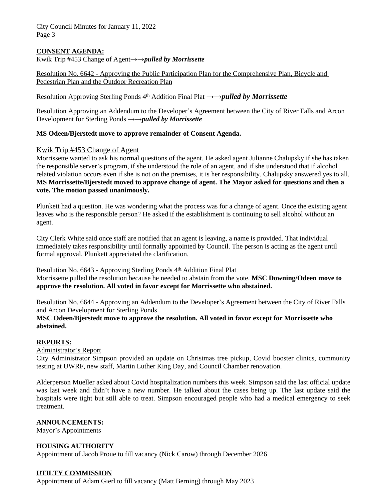City Council Minutes for January 11, 2022 Page 3

## **CONSENT AGENDA:**

Kwik Trip #453 Change of Agent*→→pulled by Morrissette*

Resolution No. 6642 - Approving the Public Participation Plan for the Comprehensive Plan, Bicycle and Pedestrian Plan and the Outdoor Recreation Plan

Resolution Approving Sterling Ponds 4th Addition Final Plat *→→pulled by Morrissette*

Resolution Approving an Addendum to the Developer's Agreement between the City of River Falls and Arcon Development for Sterling Ponds *→→pulled by Morrissette*

#### **MS Odeen/Bjerstedt move to approve remainder of Consent Agenda.**

#### Kwik Trip #453 Change of Agent

Morrissette wanted to ask his normal questions of the agent. He asked agent Julianne Chalupsky if she has taken the responsible server's program, if she understood the role of an agent, and if she understood that if alcohol related violation occurs even if she is not on the premises, it is her responsibility. Chalupsky answered yes to all. **MS Morrissette/Bjerstedt moved to approve change of agent. The Mayor asked for questions and then a vote. The motion passed unanimously.**

Plunkett had a question. He was wondering what the process was for a change of agent. Once the existing agent leaves who is the responsible person? He asked if the establishment is continuing to sell alcohol without an agent.

City Clerk White said once staff are notified that an agent is leaving, a name is provided. That individual immediately takes responsibility until formally appointed by Council. The person is acting as the agent until formal approval. Plunkett appreciated the clarification.

#### Resolution No.  $6643$  - Approving Sterling Ponds  $4<sup>th</sup>$  Addition Final Plat

Morrissette pulled the resolution because he needed to abstain from the vote. **MSC Downing/Odeen move to approve the resolution. All voted in favor except for Morrissette who abstained.**

Resolution No. 6644 - Approving an Addendum to the Developer's Agreement between the City of River Falls and Arcon Development for Sterling Ponds

### **MSC Odeen/Bjerstedt move to approve the resolution. All voted in favor except for Morrissette who abstained.**

#### **REPORTS:**

Administrator's Report

City Administrator Simpson provided an update on Christmas tree pickup, Covid booster clinics, community testing at UWRF, new staff, Martin Luther King Day, and Council Chamber renovation.

Alderperson Mueller asked about Covid hospitalization numbers this week. Simpson said the last official update was last week and didn't have a new number. He talked about the cases being up. The last update said the hospitals were tight but still able to treat. Simpson encouraged people who had a medical emergency to seek treatment.

#### **ANNOUNCEMENTS:**

Mayor's Appointments

#### **HOUSING AUTHORITY**

Appointment of Jacob Proue to fill vacancy (Nick Carow) through December 2026

#### **UTILTY COMMISSION**

Appointment of Adam Gierl to fill vacancy (Matt Berning) through May 2023